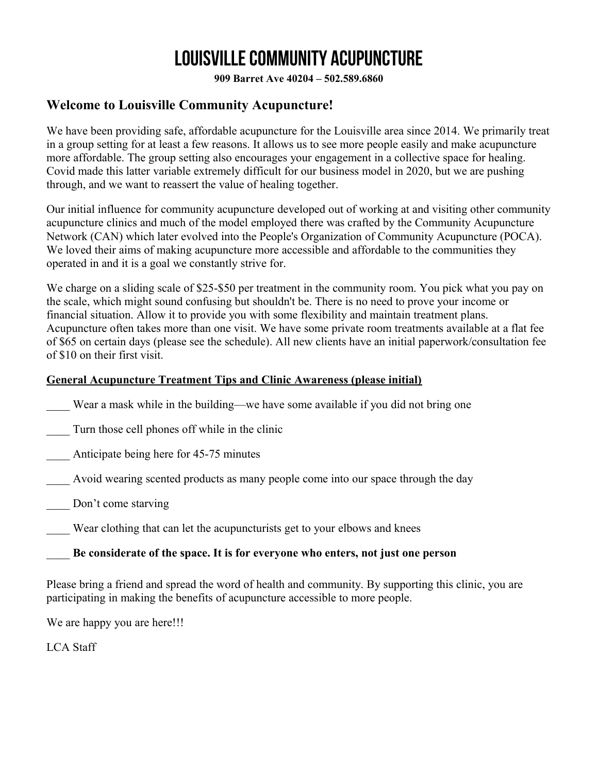**909 Barret Ave 40204 – 502.589.6860**

### **Welcome to Louisville Community Acupuncture!**

We have been providing safe, affordable acupuncture for the Louisville area since 2014. We primarily treat in a group setting for at least a few reasons. It allows us to see more people easily and make acupuncture more affordable. The group setting also encourages your engagement in a collective space for healing. Covid made this latter variable extremely difficult for our business model in 2020, but we are pushing through, and we want to reassert the value of healing together.

Our initial influence for community acupuncture developed out of working at and visiting other community acupuncture clinics and much of the model employed there was crafted by the Community Acupuncture Network (CAN) which later evolved into the People's Organization of Community Acupuncture (POCA). We loved their aims of making acupuncture more accessible and affordable to the communities they operated in and it is a goal we constantly strive for.

We charge on a sliding scale of \$25-\$50 per treatment in the community room. You pick what you pay on the scale, which might sound confusing but shouldn't be. There is no need to prove your income or financial situation. Allow it to provide you with some flexibility and maintain treatment plans. Acupuncture often takes more than one visit. We have some private room treatments available at a flat fee of \$65 on certain days (please see the schedule). All new clients have an initial paperwork/consultation fee of \$10 on their first visit.

### **General Acupuncture Treatment Tips and Clinic Awareness (please initial)**

Wear a mask while in the building—we have some available if you did not bring one

\_\_\_\_ Turn those cell phones off while in the clinic

Anticipate being here for 45-75 minutes

Avoid wearing scented products as many people come into our space through the day

- Don't come starving
- Wear clothing that can let the acupuncturists get to your elbows and knees

### \_\_\_\_ **Be considerate of the space. It is for everyone who enters, not just one person**

Please bring a friend and spread the word of health and community. By supporting this clinic, you are participating in making the benefits of acupuncture accessible to more people.

We are happy you are here!!!

LCA Staff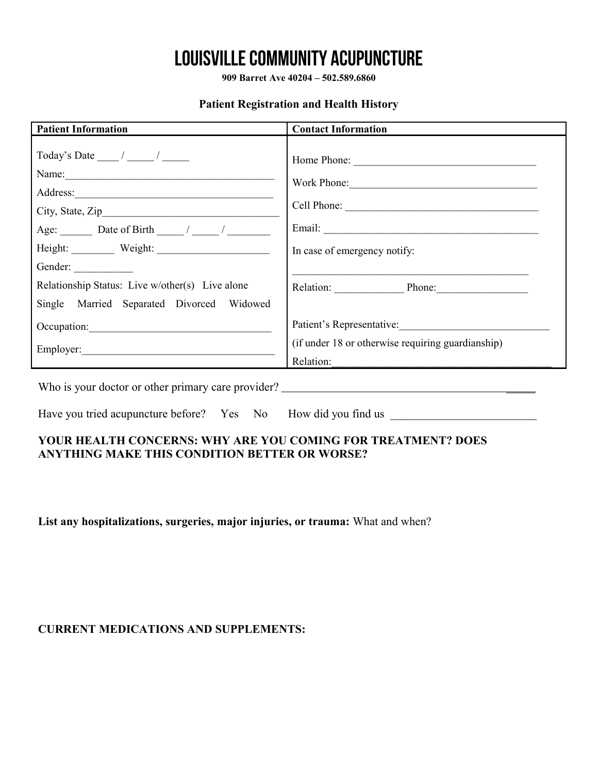**909 Barret Ave 40204 – 502.589.6860**

### **Patient Registration and Health History**

| <b>Patient Information</b>                                                                                                                                                              | <b>Contact Information</b>                                                     |  |  |
|-----------------------------------------------------------------------------------------------------------------------------------------------------------------------------------------|--------------------------------------------------------------------------------|--|--|
| Name:<br>Age: $\qquad$ Date of Birth $\qquad$ / /<br>Height: Weight: Weight:<br>Gender:<br>Relationship Status: Live w/other(s) Live alone<br>Single Married Separated Divorced Widowed | Work Phone:<br>In case of emergency notify:<br>Relation: Phone: Phone:         |  |  |
| Occupation:                                                                                                                                                                             | Patient's Representative:<br>(if under 18 or otherwise requiring guardianship) |  |  |
|                                                                                                                                                                                         | Relation:                                                                      |  |  |
| Who is your doctor or other primary care provider?                                                                                                                                      |                                                                                |  |  |
| Have you tried acupuncture before? Yes No How did you find us                                                                                                                           |                                                                                |  |  |

### **YOUR HEALTH CONCERNS: WHY ARE YOU COMING FOR TREATMENT? DOES ANYTHING MAKE THIS CONDITION BETTER OR WORSE?**

**List any hospitalizations, surgeries, major injuries, or trauma:** What and when?

### **CURRENT MEDICATIONS AND SUPPLEMENTS:**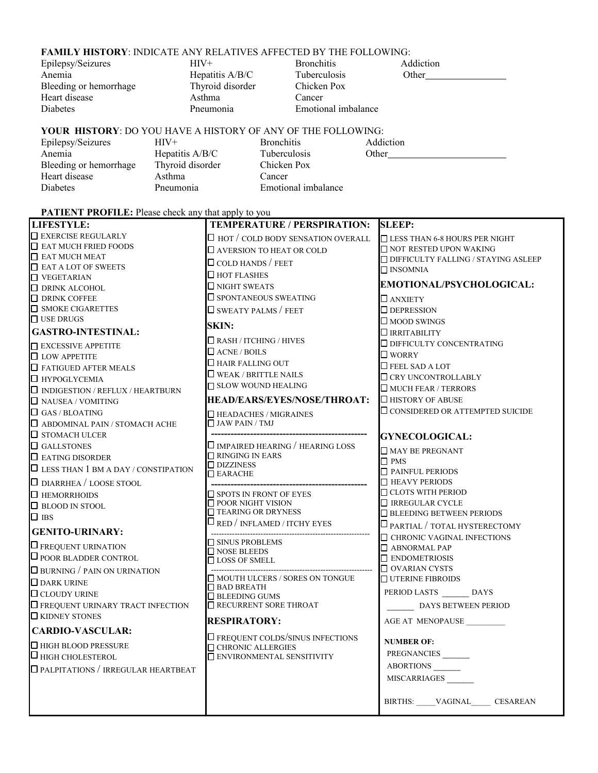#### **FAMILY HISTORY**: INDICATE ANY RELATIVES AFFECTED BY THE FOLLOWING:

| Epilepsy/Seizures      | $HIV+$            | <b>Bronchitis</b>   | Addiction |
|------------------------|-------------------|---------------------|-----------|
| Anemia                 | Hepatitis $A/B/C$ | <b>Tuberculosis</b> | Other     |
| Bleeding or hemorrhage | Thyroid disorder  | Chicken Pox         |           |
| Heart disease          | Asthma            | Cancer              |           |
| <b>Diabetes</b>        | Pneumonia         | Emotional imbalance |           |

Thyroid disorder Chicken<br>Asthma Cancer Asthma

Hepatitis A/B/C Tuberculosis Other\_\_\_\_\_<br>Thyroid disorder Chicken Pox Pneumonia Emotional imbalance

#### **YOUR HISTORY**: DO YOU HAVE A HISTORY OF ANY OF THE FOLLOWING:

Epilepsy/Seizures HIV+ Bronchitis Addiction<br>
Anemia Hepatitis A/B/C Tuberculosis Other Anemia Hepatitis A/B/C Tuberculosis Other<br>Bleeding or hemorrhage Thyroid disorder Chicken Pox Bleeding or hemorrhage Thyroid disorder Chicken Pox Heart disease Asthma Cancer Diabetes Pneumonia Emotional imbalance

#### PATIENT PROFILE: Please check any that apply to you

| <b>LIFESTYLE:</b>                           | TEMPERATURE / PERSPIRATION:                                        | <b>SLEEP:</b>                                    |
|---------------------------------------------|--------------------------------------------------------------------|--------------------------------------------------|
| $\hfill\Box$ EXERCISE REGULARLY             | $\Box$ HOT / COLD BODY SENSATION OVERALL                           | <b>LESS THAN 6-8 HOURS PER NIGHT</b>             |
| $\Box$ EAT MUCH FRIED FOODS                 | <b>LAVERSION TO HEAT OR COLD</b>                                   | $\Box$ NOT RESTED UPON WAKING                    |
| $\Box$ EAT MUCH MEAT                        | $\Box$ COLD HANDS / FEET                                           | $\Box$ DIFFICULTY FALLING / STAYING ASLEEP       |
| $\Box$ EAT A LOT OF SWEETS                  | $\square$ HOT FLASHES                                              | $\Box$ INSOMNIA                                  |
| $\Box$ VEGETARIAN<br><b>DRINK ALCOHOL</b>   | $\Box$ NIGHT SWEATS                                                | EMOTIONAL/PSYCHOLOGICAL:                         |
| $\Box$ DRINK COFFEE                         | $\square$ SPONTANEOUS SWEATING                                     | $\Box$ ANXIETY                                   |
| <b>SMOKE CIGARETTES</b>                     | $\Box$ SWEATY PALMS / FEET                                         | $\Box$ DEPRESSION                                |
| $\Box$ USE DRUGS                            |                                                                    | $\Box$ MOOD SWINGS                               |
| <b>GASTRO-INTESTINAL:</b>                   | <b>SKIN:</b>                                                       | $\Box$ IRRITABILITY                              |
| $\Box$ EXCESSIVE APPETITE                   | $\Box$ RASH / ITCHING / HIVES                                      | $\square$ DIFFICULTY CONCENTRATING               |
| $\Box$ LOW APPETITE                         | $\Box$ ACNE / BOILS                                                | $\square$ WORRY                                  |
| $\Box$ FATIGUED AFTER MEALS                 | $\Box$ HAIR FALLING OUT                                            | $\square$ FEEL SAD A LOT                         |
| $\Box$ HYPOGLYCEMIA                         | $\Box$ WEAK / BRITTLE NAILS                                        | $\Box$ CRY UNCONTROLLABLY                        |
| $\Box$ INDIGESTION / REFLUX / HEARTBURN     | □ SLOW WOUND HEALING                                               | <b>INUCH FEAR / TERRORS</b>                      |
| $\hfill\Box$ NAUSEA / VOMITING              | <b>HEAD/EARS/EYES/NOSE/THROAT:</b>                                 | $\Box$ HISTORY OF ABUSE                          |
| $\Box$ GAS / BLOATING                       |                                                                    | $\square$ CONSIDERED OR ATTEMPTED SUICIDE        |
| $\Box$ ABDOMINAL PAIN / STOMACH ACHE        | $\Box$ HEADACHES / MIGRAINES<br>$\Box$ JAW PAIN / TMJ              |                                                  |
| $\square$ STOMACH ULCER                     |                                                                    |                                                  |
| $\Box$ GALLSTONES                           | $\square$ IMPAIRED HEARING / HEARING LOSS                          | <b>GYNECOLOGICAL:</b>                            |
| $\Box$ EATING DISORDER                      | $\Box$ RINGING IN EARS                                             | MAY BE PREGNANT                                  |
| $\Box$ LESS THAN 1 BM A DAY / CONSTIPATION  | $\Box$ DIZZINESS                                                   | $\Box$ PMS                                       |
|                                             | $\hfill\blacksquare$<br>EARACHE                                    | PAINFUL PERIODS                                  |
| $\Box$ DIARRHEA / LOOSE STOOL               |                                                                    | $\Box$ HEAVY PERIODS<br>$\Box$ CLOTS WITH PERIOD |
| $\Box$ HEMORRHOIDS                          | $\square$ SPOTS IN FRONT OF EYES<br>$\hfill\Box$ POOR NIGHT VISION | $\Box$ IRREGULAR CYCLE                           |
| $\Box$ BLOOD IN STOOL                       | $\hfill\Box$ TEARING OR DRYNESS                                    | $\Box$ BLEEDING BETWEEN PERIODS                  |
| $\Box$ ibs                                  | $\square$ RED / INFLAMED / ITCHY EYES                              | $\Box$ PARTIAL / TOTAL HYSTERECTOMY              |
| <b>GENITO-URINARY:</b>                      |                                                                    | $\Box$ CHRONIC VAGINAL INFECTIONS                |
| $\Box$ FREQUENT URINATION                   | SINUS PROBLEMS                                                     | $\Box$ ABNORMAL PAP                              |
| $\Box$ POOR BLADDER CONTROL                 | $\square$ NOSE BLEEDS<br>$\Box$ LOSS OF SMELL                      | $\Box$ ENDOMETRIOSIS                             |
| $\Box$ BURNING / PAIN ON URINATION          |                                                                    | $\Box$ OVARIAN CYSTS                             |
| $\Box$ DARK URINE                           | MOUTH ULCERS / SORES ON TONGUE                                     | $\Box$ UTERINE FIBROIDS                          |
| $\Box$ CLOUDY URINE                         | $\Box$ BAD BREATH<br>$\Box$ BLEEDING GUMS                          | PERIOD LASTS DAYS                                |
| <b>IO</b> FREQUENT URINARY TRACT INFECTION  | $\hfill\blacksquare$<br>RECURRENT SORE THROAT                      | DAYS BETWEEN PERIOD                              |
| $\Box$ KIDNEY STONES                        |                                                                    |                                                  |
|                                             | <b>RESPIRATORY:</b>                                                | AGE AT MENOPAUSE                                 |
| <b>CARDIO-VASCULAR:</b>                     | <b>O FREQUENT COLDS/SINUS INFECTIONS</b>                           | <b>NUMBER OF:</b>                                |
| $\Box$ HIGH BLOOD PRESSURE                  | $\Box$ CHRONIC ALLERGIES                                           |                                                  |
| $\Box$ HIGH CHOLESTEROL                     | E ENVIRONMENTAL SENSITIVITY                                        | PREGNANCIES                                      |
| <b>D</b> PALPITATIONS / IRREGULAR HEARTBEAT |                                                                    | <b>ABORTIONS</b>                                 |
|                                             |                                                                    | <b>MISCARRIAGES</b>                              |
|                                             |                                                                    |                                                  |
|                                             |                                                                    | BIRTHS: VAGINAL CESAREAN                         |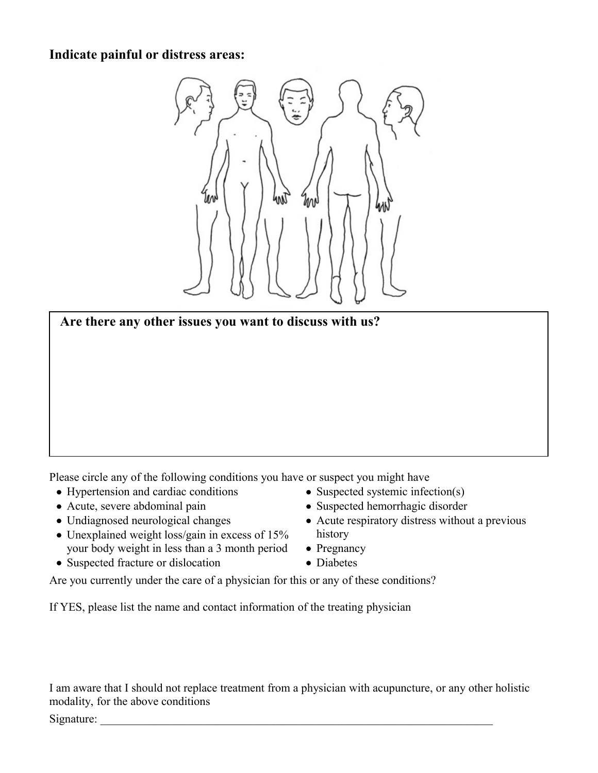### **Indicate painful or distress areas:**





Please circle any of the following conditions you have or suspect you might have

- Hypertension and cardiac conditions
- Acute, severe abdominal pain
- Undiagnosed neurological changes
- Unexplained weight loss/gain in excess of 15% your body weight in less than a 3 month period
- Suspected fracture or dislocation
- Suspected systemic infection(s)
- Suspected hemorrhagic disorder
- Acute respiratory distress without a previous history
- Pregnancy
- Diabetes

Are you currently under the care of a physician for this or any of these conditions?

If YES, please list the name and contact information of the treating physician

I am aware that I should not replace treatment from a physician with acupuncture, or any other holistic modality, for the above conditions

Signature: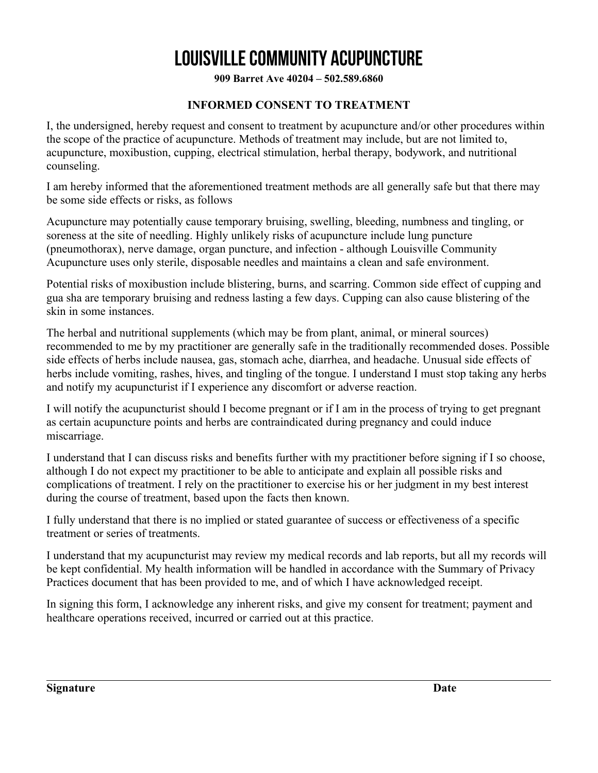**909 Barret Ave 40204 – 502.589.6860**

### **INFORMED CONSENT TO TREATMENT**

I, the undersigned, hereby request and consent to treatment by acupuncture and/or other procedures within the scope of the practice of acupuncture. Methods of treatment may include, but are not limited to, acupuncture, moxibustion, cupping, electrical stimulation, herbal therapy, bodywork, and nutritional counseling.

I am hereby informed that the aforementioned treatment methods are all generally safe but that there may be some side effects or risks, as follows

Acupuncture may potentially cause temporary bruising, swelling, bleeding, numbness and tingling, or soreness at the site of needling. Highly unlikely risks of acupuncture include lung puncture (pneumothorax), nerve damage, organ puncture, and infection - although Louisville Community Acupuncture uses only sterile, disposable needles and maintains a clean and safe environment.

Potential risks of moxibustion include blistering, burns, and scarring. Common side effect of cupping and gua sha are temporary bruising and redness lasting a few days. Cupping can also cause blistering of the skin in some instances.

The herbal and nutritional supplements (which may be from plant, animal, or mineral sources) recommended to me by my practitioner are generally safe in the traditionally recommended doses. Possible side effects of herbs include nausea, gas, stomach ache, diarrhea, and headache. Unusual side effects of herbs include vomiting, rashes, hives, and tingling of the tongue. I understand I must stop taking any herbs and notify my acupuncturist if I experience any discomfort or adverse reaction.

I will notify the acupuncturist should I become pregnant or if I am in the process of trying to get pregnant as certain acupuncture points and herbs are contraindicated during pregnancy and could induce miscarriage.

I understand that I can discuss risks and benefits further with my practitioner before signing if I so choose, although I do not expect my practitioner to be able to anticipate and explain all possible risks and complications of treatment. I rely on the practitioner to exercise his or her judgment in my best interest during the course of treatment, based upon the facts then known.

I fully understand that there is no implied or stated guarantee of success or effectiveness of a specific treatment or series of treatments.

I understand that my acupuncturist may review my medical records and lab reports, but all my records will be kept confidential. My health information will be handled in accordance with the Summary of Privacy Practices document that has been provided to me, and of which I have acknowledged receipt.

In signing this form, I acknowledge any inherent risks, and give my consent for treatment; payment and healthcare operations received, incurred or carried out at this practice.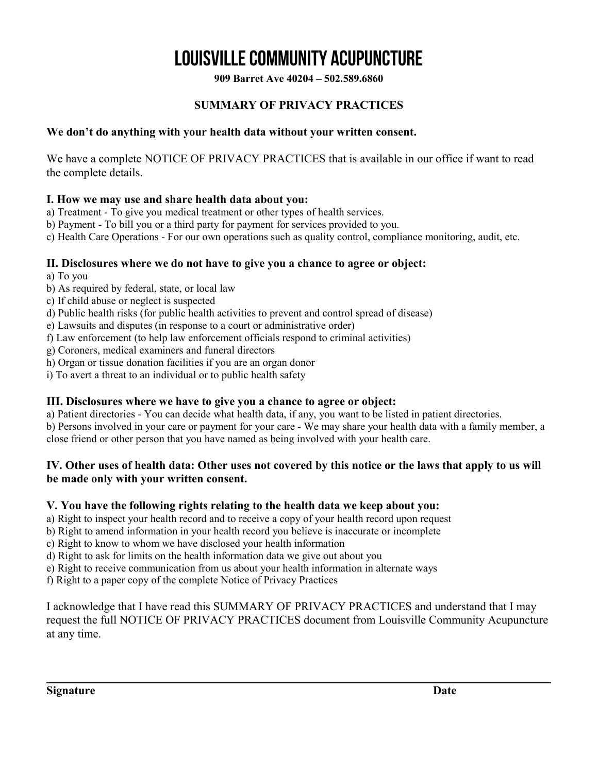**909 Barret Ave 40204 – 502.589.6860**

### **SUMMARY OF PRIVACY PRACTICES**

### **We don't do anything with your health data without your written consent.**

We have a complete NOTICE OF PRIVACY PRACTICES that is available in our office if want to read the complete details.

### **I. How we may use and share health data about you:**

a) Treatment - To give you medical treatment or other types of health services.

b) Payment - To bill you or a third party for payment for services provided to you.

c) Health Care Operations - For our own operations such as quality control, compliance monitoring, audit, etc.

### **II. Disclosures where we do not have to give you a chance to agree or object:**

a) To you

- b) As required by federal, state, or local law
- c) If child abuse or neglect is suspected
- d) Public health risks (for public health activities to prevent and control spread of disease)
- e) Lawsuits and disputes (in response to a court or administrative order)
- f) Law enforcement (to help law enforcement officials respond to criminal activities)
- g) Coroners, medical examiners and funeral directors
- h) Organ or tissue donation facilities if you are an organ donor
- i) To avert a threat to an individual or to public health safety

### **III. Disclosures where we have to give you a chance to agree or object:**

a) Patient directories - You can decide what health data, if any, you want to be listed in patient directories.

b) Persons involved in your care or payment for your care - We may share your health data with a family member, a close friend or other person that you have named as being involved with your health care.

### **IV. Other uses of health data: Other uses not covered by this notice or the laws that apply to us will be made only with your written consent.**

### **V. You have the following rights relating to the health data we keep about you:**

- a) Right to inspect your health record and to receive a copy of your health record upon request
- b) Right to amend information in your health record you believe is inaccurate or incomplete
- c) Right to know to whom we have disclosed your health information
- d) Right to ask for limits on the health information data we give out about you
- e) Right to receive communication from us about your health information in alternate ways

f) Right to a paper copy of the complete Notice of Privacy Practices

I acknowledge that I have read this SUMMARY OF PRIVACY PRACTICES and understand that I may request the full NOTICE OF PRIVACY PRACTICES document from Louisville Community Acupuncture at any time.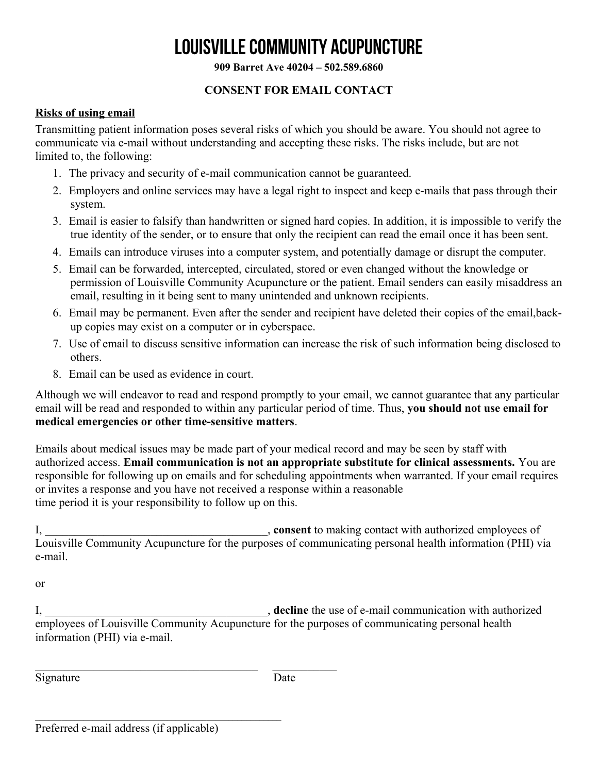**909 Barret Ave 40204 – 502.589.6860**

### **CONSENT FOR EMAIL CONTACT**

### **Risks of using email**

Transmitting patient information poses several risks of which you should be aware. You should not agree to communicate via e-mail without understanding and accepting these risks. The risks include, but are not limited to, the following:

- 1. The privacy and security of e-mail communication cannot be guaranteed.
- 2. Employers and online services may have a legal right to inspect and keep e-mails that pass through their system.
- 3. Email is easier to falsify than handwritten or signed hard copies. In addition, it is impossible to verify the true identity of the sender, or to ensure that only the recipient can read the email once it has been sent.
- 4. Emails can introduce viruses into a computer system, and potentially damage or disrupt the computer.
- 5. Email can be forwarded, intercepted, circulated, stored or even changed without the knowledge or permission of Louisville Community Acupuncture or the patient. Email senders can easily misaddress an email, resulting in it being sent to many unintended and unknown recipients.
- 6. Email may be permanent. Even after the sender and recipient have deleted their copies of the email,backup copies may exist on a computer or in cyberspace.
- 7. Use of email to discuss sensitive information can increase the risk of such information being disclosed to others.
- 8. Email can be used as evidence in court.

Although we will endeavor to read and respond promptly to your email, we cannot guarantee that any particular email will be read and responded to within any particular period of time. Thus, **you should not use email for medical emergencies or other time-sensitive matters**.

Emails about medical issues may be made part of your medical record and may be seen by staff with authorized access. **Email communication is not an appropriate substitute for clinical assessments.** You are responsible for following up on emails and for scheduling appointments when warranted. If your email requires or invites a response and you have not received a response within a reasonable time period it is your responsibility to follow up on this.

I, \_\_\_\_\_\_\_\_\_\_\_\_\_\_\_\_\_\_\_\_\_\_\_\_\_\_\_\_\_\_\_\_\_\_\_\_\_\_, **consent** to making contact with authorized employees of Louisville Community Acupuncture for the purposes of communicating personal health information (PHI) via e-mail.

or

I, the use of e-mail communication with authorized employees of Louisville Community Acupuncture for the purposes of communicating personal health information (PHI) via e-mail.

Signature Date